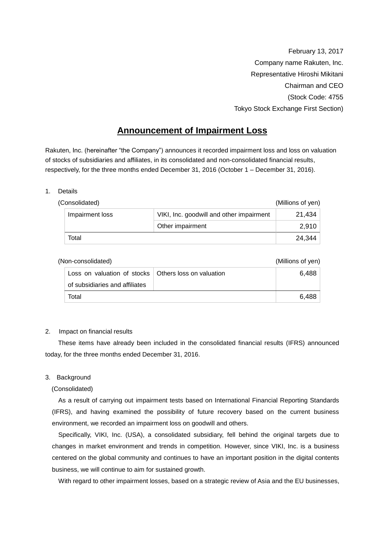February 13, 2017 Company name Rakuten, Inc. Representative Hiroshi Mikitani Chairman and CEO (Stock Code: 4755 Tokyo Stock Exchange First Section)

# **Announcement of Impairment Loss**

Rakuten, Inc. (hereinafter "the Company") announces it recorded impairment loss and loss on valuation of stocks of subsidiaries and affiliates, in its consolidated and non-consolidated financial results, respectively, for the three months ended December 31, 2016 (October 1 – December 31, 2016).

#### 1. Details

| (Consolidated)  |                                          | (Millions of yen) |
|-----------------|------------------------------------------|-------------------|
| Impairment loss | VIKI, Inc. goodwill and other impairment | 21,434            |
|                 | Other impairment                         | 2,910             |
| Total           |                                          | 24.344            |

| (Non-consolidated)                                           |  | (Millions of yen) |  |
|--------------------------------------------------------------|--|-------------------|--|
| Loss on valuation of stocks $\vert$ Others loss on valuation |  | 6.488             |  |
| of subsidiaries and affiliates                               |  |                   |  |
| Total                                                        |  | 6.488             |  |

# 2. Impact on financial results

These items have already been included in the consolidated financial results (IFRS) announced today, for the three months ended December 31, 2016.

# 3. Background

# (Consolidated)

As a result of carrying out impairment tests based on International Financial Reporting Standards (IFRS), and having examined the possibility of future recovery based on the current business environment, we recorded an impairment loss on goodwill and others.

Specifically, VIKI, Inc. (USA), a consolidated subsidiary, fell behind the original targets due to changes in market environment and trends in competition. However, since VIKI, Inc. is a business centered on the global community and continues to have an important position in the digital contents business, we will continue to aim for sustained growth.

With regard to other impairment losses, based on a strategic review of Asia and the EU businesses,